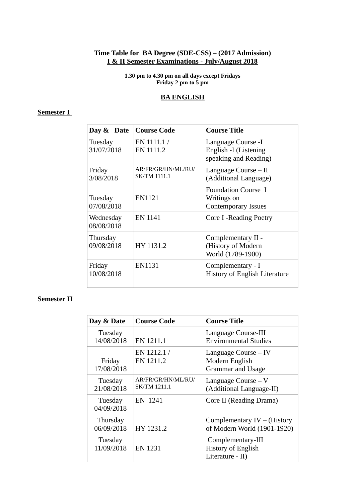#### **Time Table for BA Degree (SDE-CSS) – (2017 Admission) I & II Semester Examinations - July/August 2018**

**1.30 pm to 4.30 pm on all days except Fridays Friday 2 pm to 5 pm**

#### **BA ENGLISH**

### **Semester I**

| Day & Date              | <b>Course Code</b>                        | <b>Course Title</b>                                                     |
|-------------------------|-------------------------------------------|-------------------------------------------------------------------------|
| Tuesday<br>31/07/2018   | EN 1111.1/<br>EN 1111.2                   | Language Course -I<br>English -I (Listening<br>speaking and Reading)    |
| Friday<br>3/08/2018     | AR/FR/GR/HN/ML/RU/<br><b>SK/TM 1111.1</b> | Language Course – II<br>(Additional Language)                           |
| Tuesday<br>07/08/2018   | EN1121                                    | <b>Foundation Course I</b><br>Writings on<br><b>Contemporary Issues</b> |
| Wednesday<br>08/08/2018 | <b>EN 1141</b>                            | Core I - Reading Poetry                                                 |
| Thursday<br>09/08/2018  | HY 1131.2                                 | Complementary II -<br>(History of Modern<br>World (1789-1900)           |
| Friday<br>10/08/2018    | EN1131                                    | Complementary - I<br><b>History of English Literature</b>               |

| Day & Date             | <b>Course Code</b>                        | <b>Course Title</b>                                                |
|------------------------|-------------------------------------------|--------------------------------------------------------------------|
| Tuesday<br>14/08/2018  | EN 1211.1                                 | Language Course-III<br><b>Environmental Studies</b>                |
| Friday<br>17/08/2018   | EN 1212.1/<br>EN 1211.2                   | Language Course - IV<br>Modern English<br>Grammar and Usage        |
| Tuesday<br>21/08/2018  | AR/FR/GR/HN/ML/RU/<br><b>SK/TM 1211.1</b> | Language Course $-V$<br>(Additional Language-II)                   |
| Tuesday<br>04/09/2018  | EN 1241                                   | Core II (Reading Drama)                                            |
| Thursday<br>06/09/2018 | HY 1231.2                                 | Complementary $IV - (History)$<br>of Modern World (1901-1920)      |
| Tuesday<br>11/09/2018  | <b>EN 1231</b>                            | Complementary-III<br><b>History of English</b><br>Literature - II) |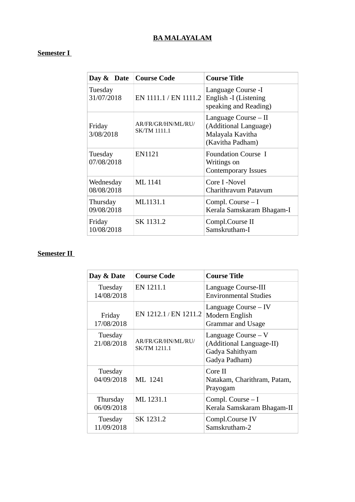# **BA MALAYALAM**

### **Semester I**

| Day & Date   Course Code |                                           | <b>Course Title</b>                                                                   |
|--------------------------|-------------------------------------------|---------------------------------------------------------------------------------------|
| Tuesday<br>31/07/2018    | EN 1111.1 / EN 1111.2                     | Language Course -I<br>English -I (Listening<br>speaking and Reading)                  |
| Friday<br>3/08/2018      | AR/FR/GR/HN/ML/RU/<br><b>SK/TM 1111.1</b> | Language Course – II<br>(Additional Language)<br>Malayala Kavitha<br>(Kavitha Padham) |
| Tuesday<br>07/08/2018    | EN1121                                    | <b>Foundation Course I</b><br>Writings on<br><b>Contemporary Issues</b>               |
| Wednesday<br>08/08/2018  | <b>ML</b> 1141                            | Core I -Novel<br>Charithravum Patavum                                                 |
| Thursday<br>09/08/2018   | ML1131.1                                  | Compl. Course - I<br>Kerala Samskaram Bhagam-I                                        |
| Friday<br>10/08/2018     | SK 1131.2                                 | Compl.Course II<br>Samskrutham-I                                                      |

| Day & Date             | <b>Course Code</b>                        | Course Title                                                                         |
|------------------------|-------------------------------------------|--------------------------------------------------------------------------------------|
| Tuesday<br>14/08/2018  | EN 1211.1                                 | Language Course-III<br><b>Environmental Studies</b>                                  |
| Friday<br>17/08/2018   | EN 1212.1 / EN 1211.2                     | Language Course – IV<br>Modern English<br>Grammar and Usage                          |
| Tuesday<br>21/08/2018  | AR/FR/GR/HN/ML/RU/<br><b>SK/TM 1211.1</b> | Language Course $-V$<br>(Additional Language-II)<br>Gadya Sahithyam<br>Gadya Padham) |
| Tuesday<br>04/09/2018  | MI. 1241                                  | Core II<br>Natakam, Charithram, Patam,<br>Prayogam                                   |
| Thursday<br>06/09/2018 | ML 1231.1                                 | Compl. Course – I<br>Kerala Samskaram Bhagam-II                                      |
| Tuesday<br>11/09/2018  | SK 1231.2                                 | Compl.Course IV<br>Samskrutham-2                                                     |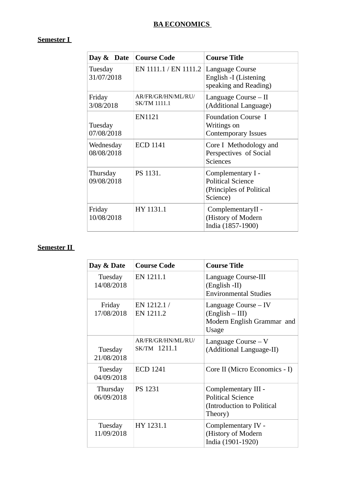# **BA ECONOMICS**

### **Semester I**

| Day & Date              | <b>Course Code</b>                        | <b>Course Title</b>                                                                   |
|-------------------------|-------------------------------------------|---------------------------------------------------------------------------------------|
| Tuesday<br>31/07/2018   | EN 1111.1 / EN 1111.2                     | Language Course<br>English -I (Listening<br>speaking and Reading)                     |
| Friday<br>3/08/2018     | AR/FR/GR/HN/ML/RU/<br><b>SK/TM 1111.1</b> | Language Course – II<br>(Additional Language)                                         |
| Tuesday<br>07/08/2018   | <b>EN1121</b>                             | <b>Foundation Course I</b><br>Writings on<br><b>Contemporary Issues</b>               |
| Wednesday<br>08/08/2018 | <b>ECD 1141</b>                           | Core I Methodology and<br>Perspectives of Social<br><b>Sciences</b>                   |
| Thursday<br>09/08/2018  | PS 1131.                                  | Complementary I -<br><b>Political Science</b><br>(Principles of Political<br>Science) |
| Friday<br>10/08/2018    | HY 1131.1                                 | ComplementaryII -<br>(History of Modern<br>India (1857-1900)                          |

| Day & Date             | <b>Course Code</b>                 | <b>Course Title</b>                                                                      |
|------------------------|------------------------------------|------------------------------------------------------------------------------------------|
| Tuesday<br>14/08/2018  | EN 1211.1                          | Language Course-III<br>(English -II)<br><b>Environmental Studies</b>                     |
| Friday<br>17/08/2018   | EN 1212.1/<br>EN 1211.2            | Language Course – IV<br>$(English - III)$<br>Modern English Grammar and<br>Usage         |
| Tuesday<br>21/08/2018  | AR/FR/GR/HN/ML/RU/<br>SK/TM 1211.1 | Language Course $-V$<br>(Additional Language-II)                                         |
| Tuesday<br>04/09/2018  | <b>ECD 1241</b>                    | Core II (Micro Economics - I)                                                            |
| Thursday<br>06/09/2018 | PS 1231                            | Complementary III -<br><b>Political Science</b><br>(Introduction to Political<br>Theory) |
| Tuesday<br>11/09/2018  | HY 1231.1                          | Complementary IV -<br>(History of Modern<br>India (1901-1920)                            |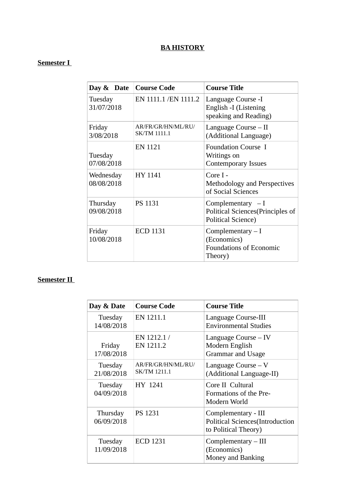### **BA HISTORY**

#### **Semester I**

| Day & Date   Course Code |                                           | <b>Course Title</b>                                                                 |
|--------------------------|-------------------------------------------|-------------------------------------------------------------------------------------|
| Tuesday<br>31/07/2018    | EN 1111.1 / EN 1111.2                     | Language Course -I<br>English -I (Listening<br>speaking and Reading)                |
| Friday<br>3/08/2018      | AR/FR/GR/HN/ML/RU/<br><b>SK/TM 1111.1</b> | Language Course – II<br>(Additional Language)                                       |
| Tuesday<br>07/08/2018    | EN 1121                                   | <b>Foundation Course I</b><br>Writings on<br><b>Contemporary Issues</b>             |
| Wednesday<br>08/08/2018  | HY 1141                                   | Core I -<br>Methodology and Perspectives<br>of Social Sciences                      |
| Thursday<br>09/08/2018   | <b>PS 1131</b>                            | Complementary $-I$<br>Political Sciences(Principles of<br><b>Political Science)</b> |
| Friday<br>10/08/2018     | <b>ECD 1131</b>                           | Complementary $- I$<br>(Economics)<br><b>Foundations of Economic</b><br>Theory)     |

| Day & Date             | <b>Course Code</b>                        | <b>Course Title</b>                                                                    |
|------------------------|-------------------------------------------|----------------------------------------------------------------------------------------|
| Tuesday<br>14/08/2018  | EN 1211.1                                 | Language Course-III<br><b>Environmental Studies</b>                                    |
| Friday<br>17/08/2018   | EN 1212.1/<br>EN 1211.2                   | Language Course – IV<br>Modern English<br>Grammar and Usage                            |
| Tuesday<br>21/08/2018  | AR/FR/GR/HN/ML/RU/<br><b>SK/TM 1211.1</b> | Language Course $-V$<br>(Additional Language-II)                                       |
| Tuesday<br>04/09/2018  | HY 1241                                   | Core II Cultural<br>Formations of the Pre-<br>Modern World                             |
| Thursday<br>06/09/2018 | <b>PS 1231</b>                            | Complementary - III<br><b>Political Sciences</b> (Introduction<br>to Political Theory) |
| Tuesday<br>11/09/2018  | <b>ECD 1231</b>                           | $Complementary - III$<br>(Economics)<br>Money and Banking                              |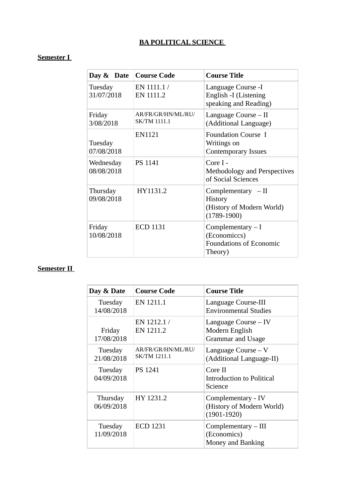# **BA POLITICAL SCIENCE**

# **Semester I**

| Day & Date              | <b>Course Code</b>                        | <b>Course Title</b>                                                              |
|-------------------------|-------------------------------------------|----------------------------------------------------------------------------------|
| Tuesday<br>31/07/2018   | EN 1111.1/<br>EN 1111.2                   | Language Course -I<br>English -I (Listening<br>speaking and Reading)             |
| Friday<br>3/08/2018     | AR/FR/GR/HN/ML/RU/<br><b>SK/TM 1111.1</b> | Language Course - II<br>(Additional Language)                                    |
| Tuesday<br>07/08/2018   | <b>EN1121</b>                             | <b>Foundation Course I</b><br>Writings on<br><b>Contemporary Issues</b>          |
| Wednesday<br>08/08/2018 | <b>PS 1141</b>                            | Core I -<br><b>Methodology and Perspectives</b><br>of Social Sciences            |
| Thursday<br>09/08/2018  | HY1131.2                                  | Complementary $-II$<br>History<br>(History of Modern World)<br>$(1789-1900)$     |
| Friday<br>10/08/2018    | <b>ECD 1131</b>                           | Complementary $- I$<br>(Economiccs)<br><b>Foundations of Economic</b><br>Theory) |

| Day & Date             | <b>Course Code</b>                        | <b>Course Title</b>                                                |
|------------------------|-------------------------------------------|--------------------------------------------------------------------|
| Tuesday<br>14/08/2018  | EN 1211.1                                 | Language Course-III<br><b>Environmental Studies</b>                |
| Friday<br>17/08/2018   | EN 1212.1/<br>EN 1211.2                   | Language Course – IV<br>Modern English<br>Grammar and Usage        |
| Tuesday<br>21/08/2018  | AR/FR/GR/HN/ML/RU/<br><b>SK/TM 1211.1</b> | Language Course $-V$<br>(Additional Language-II)                   |
| Tuesday<br>04/09/2018  | PS 1241                                   | Core II<br>Introduction to Political<br>Science                    |
| Thursday<br>06/09/2018 | HY 1231.2                                 | Complementary - IV<br>(History of Modern World)<br>$(1901 - 1920)$ |
| Tuesday<br>11/09/2018  | <b>ECD 1231</b>                           | $Complementary - III$<br>(Economics)<br>Money and Banking          |